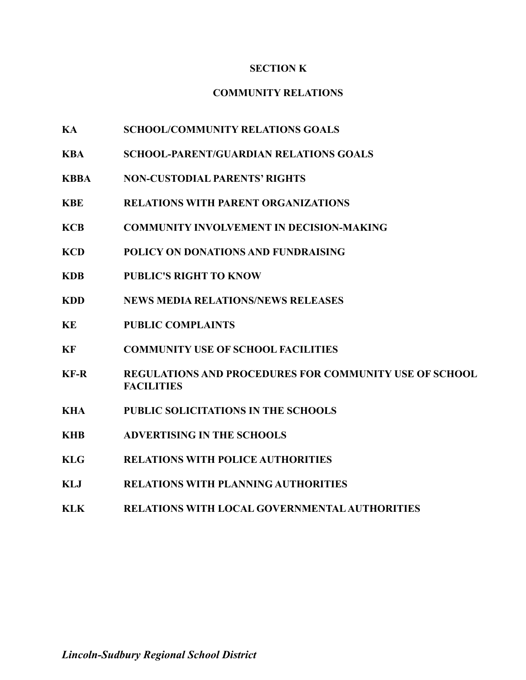### **SECTION K**

## **COMMUNITY RELATIONS**

- **KA SCHOOL/COMMUNITY RELATIONS GOALS**
- **KBA SCHOOL-PARENT/GUARDIAN RELATIONS GOALS**
- **KBBA NON-CUSTODIAL PARENTS' RIGHTS**
- **KBE RELATIONS WITH PARENT ORGANIZATIONS**
- **KCB COMMUNITY INVOLVEMENT IN DECISION-MAKING**
- **KCD POLICY ON DONATIONS AND FUNDRAISING**
- **KDB PUBLIC'S RIGHT TO KNOW**
- **KDD NEWS MEDIA RELATIONS/NEWS RELEASES**
- **KE PUBLIC COMPLAINTS**
- **KF COMMUNITY USE OF SCHOOL FACILITIES**
- **KF-R REGULATIONS AND PROCEDURES FOR COMMUNITY USE OF SCHOOL FACILITIES**
- **KHA PUBLIC SOLICITATIONS IN THE SCHOOLS**
- **KHB ADVERTISING IN THE SCHOOLS**
- **KLG RELATIONS WITH POLICE AUTHORITIES**
- **KLJ RELATIONS WITH PLANNING AUTHORITIES**
- **KLK RELATIONS WITH LOCAL GOVERNMENTALAUTHORITIES**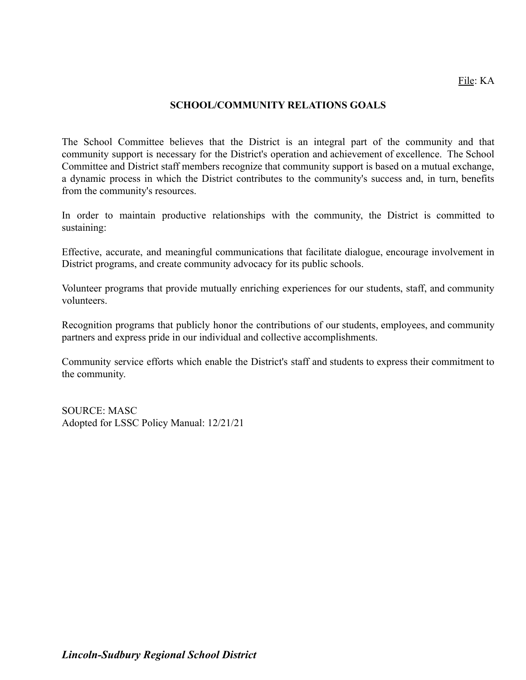### File: KA

#### **SCHOOL/COMMUNITY RELATIONS GOALS**

The School Committee believes that the District is an integral part of the community and that community support is necessary for the District's operation and achievement of excellence. The School Committee and District staff members recognize that community support is based on a mutual exchange, a dynamic process in which the District contributes to the community's success and, in turn, benefits from the community's resources.

In order to maintain productive relationships with the community, the District is committed to sustaining:

Effective, accurate, and meaningful communications that facilitate dialogue, encourage involvement in District programs, and create community advocacy for its public schools.

Volunteer programs that provide mutually enriching experiences for our students, staff, and community volunteers.

Recognition programs that publicly honor the contributions of our students, employees, and community partners and express pride in our individual and collective accomplishments.

Community service efforts which enable the District's staff and students to express their commitment to the community.

SOURCE: MASC Adopted for LSSC Policy Manual: 12/21/21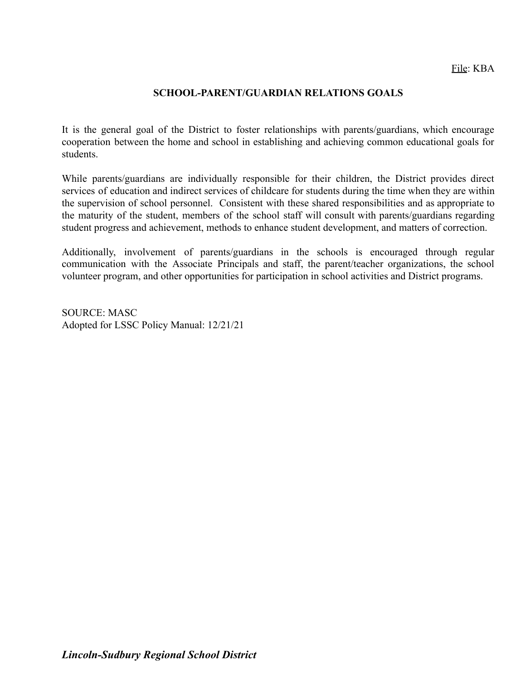#### **SCHOOL-PARENT/GUARDIAN RELATIONS GOALS**

It is the general goal of the District to foster relationships with parents/guardians, which encourage cooperation between the home and school in establishing and achieving common educational goals for students.

While parents/guardians are individually responsible for their children, the District provides direct services of education and indirect services of childcare for students during the time when they are within the supervision of school personnel. Consistent with these shared responsibilities and as appropriate to the maturity of the student, members of the school staff will consult with parents/guardians regarding student progress and achievement, methods to enhance student development, and matters of correction.

Additionally, involvement of parents/guardians in the schools is encouraged through regular communication with the Associate Principals and staff, the parent/teacher organizations, the school volunteer program, and other opportunities for participation in school activities and District programs.

SOURCE: MASC Adopted for LSSC Policy Manual: 12/21/21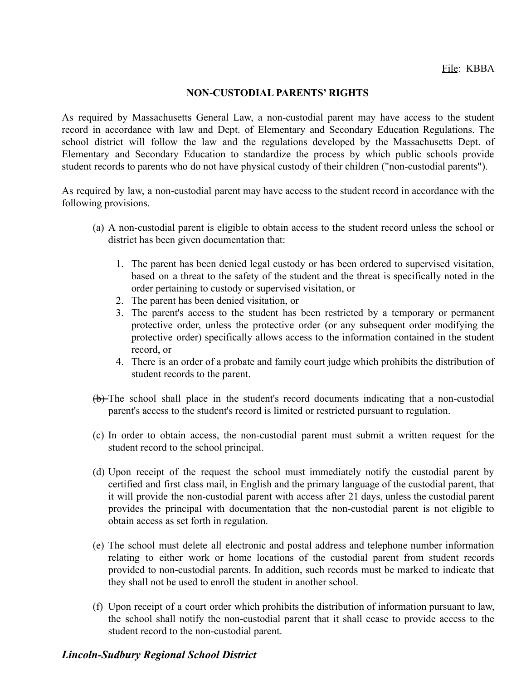#### **NON-CUSTODIAL PARENTS' RIGHTS**

As required by Massachusetts General Law, a non-custodial parent may have access to the student record in accordance with law and Dept. of Elementary and Secondary Education Regulations. The school district will follow the law and the regulations developed by the Massachusetts Dept. of Elementary and Secondary Education to standardize the process by which public schools provide student records to parents who do not have physical custody of their children ("non-custodial parents").

As required by law, a non-custodial parent may have access to the student record in accordance with the following provisions.

- (a) A non-custodial parent is eligible to obtain access to the student record unless the school or district has been given documentation that:
	- 1. The parent has been denied legal custody or has been ordered to supervised visitation, based on a threat to the safety of the student and the threat is specifically noted in the order pertaining to custody or supervised visitation, or
	- 2. The parent has been denied visitation, or
	- 3. The parent's access to the student has been restricted by a temporary or permanent protective order, unless the protective order (or any subsequent order modifying the protective order) specifically allows access to the information contained in the student record, or
	- 4. There is an order of a probate and family court judge which prohibits the distribution of student records to the parent.
- (b) The school shall place in the student's record documents indicating that a non-custodial parent's access to the student's record is limited or restricted pursuant to regulation.
- (c) In order to obtain access, the non-custodial parent must submit a written request for the student record to the school principal.
- (d) Upon receipt of the request the school must immediately notify the custodial parent by certified and first class mail, in English and the primary language of the custodial parent, that it will provide the non-custodial parent with access after 21 days, unless the custodial parent provides the principal with documentation that the non-custodial parent is not eligible to obtain access as set forth in regulation.
- (e) The school must delete all electronic and postal address and telephone number information relating to either work or home locations of the custodial parent from student records provided to non-custodial parents. In addition, such records must be marked to indicate that they shall not be used to enroll the student in another school.
- (f) Upon receipt of a court order which prohibits the distribution of information pursuant to law, the school shall notify the non-custodial parent that it shall cease to provide access to the student record to the non-custodial parent.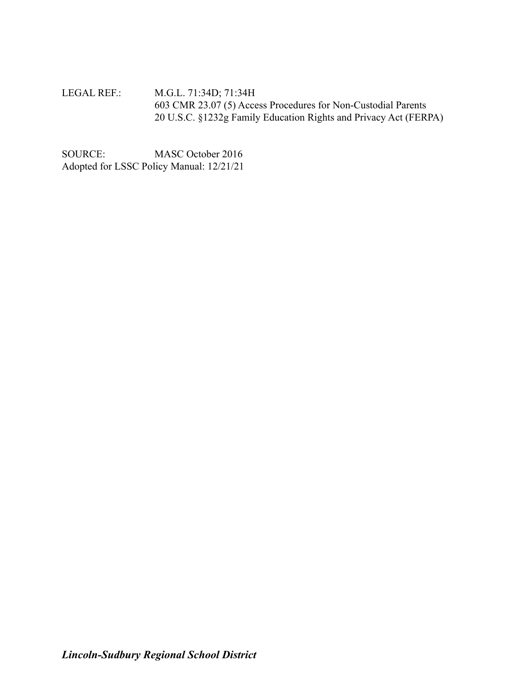LEGAL REF.: M.G.L. 71:34D; 71:34H 603 CMR 23.07 (5) Access Procedures for Non-Custodial Parents 20 U.S.C. §1232g Family Education Rights and Privacy Act (FERPA)

SOURCE: MASC October 2016 Adopted for LSSC Policy Manual: 12/21/21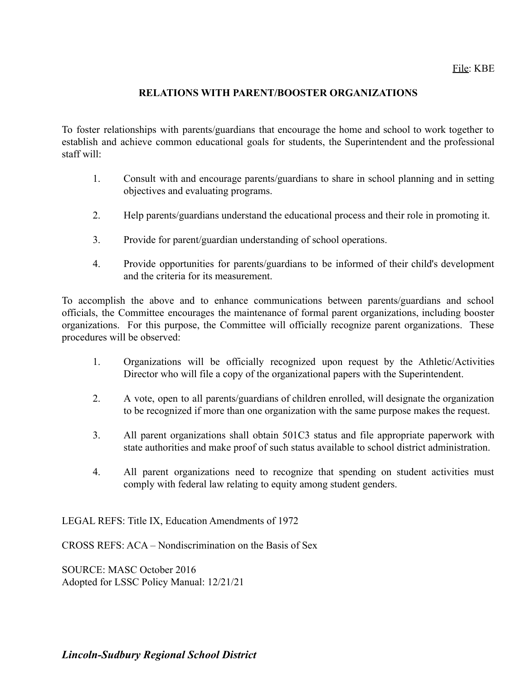### **RELATIONS WITH PARENT/BOOSTER ORGANIZATIONS**

To foster relationships with parents/guardians that encourage the home and school to work together to establish and achieve common educational goals for students, the Superintendent and the professional staff will:

- 1. Consult with and encourage parents/guardians to share in school planning and in setting objectives and evaluating programs.
- 2. Help parents/guardians understand the educational process and their role in promoting it.
- 3. Provide for parent/guardian understanding of school operations.
- 4. Provide opportunities for parents/guardians to be informed of their child's development and the criteria for its measurement.

To accomplish the above and to enhance communications between parents/guardians and school officials, the Committee encourages the maintenance of formal parent organizations, including booster organizations. For this purpose, the Committee will officially recognize parent organizations. These procedures will be observed:

- 1. Organizations will be officially recognized upon request by the Athletic/Activities Director who will file a copy of the organizational papers with the Superintendent.
- 2. A vote, open to all parents/guardians of children enrolled, will designate the organization to be recognized if more than one organization with the same purpose makes the request.
- 3. All parent organizations shall obtain 501C3 status and file appropriate paperwork with state authorities and make proof of such status available to school district administration.
- 4. All parent organizations need to recognize that spending on student activities must comply with federal law relating to equity among student genders.

LEGAL REFS: Title IX, Education Amendments of 1972

CROSS REFS: ACA – Nondiscrimination on the Basis of Sex

SOURCE: MASC October 2016 Adopted for LSSC Policy Manual: 12/21/21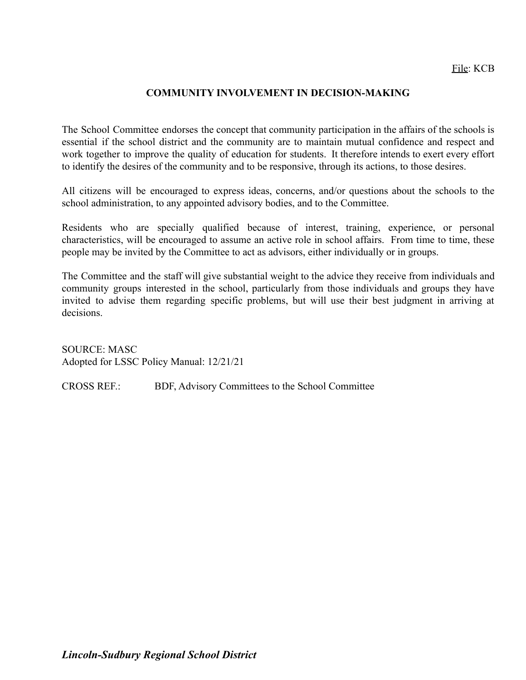### **COMMUNITY INVOLVEMENT IN DECISION-MAKING**

The School Committee endorses the concept that community participation in the affairs of the schools is essential if the school district and the community are to maintain mutual confidence and respect and work together to improve the quality of education for students. It therefore intends to exert every effort to identify the desires of the community and to be responsive, through its actions, to those desires.

All citizens will be encouraged to express ideas, concerns, and/or questions about the schools to the school administration, to any appointed advisory bodies, and to the Committee.

Residents who are specially qualified because of interest, training, experience, or personal characteristics, will be encouraged to assume an active role in school affairs. From time to time, these people may be invited by the Committee to act as advisors, either individually or in groups.

The Committee and the staff will give substantial weight to the advice they receive from individuals and community groups interested in the school, particularly from those individuals and groups they have invited to advise them regarding specific problems, but will use their best judgment in arriving at decisions.

SOURCE: MASC Adopted for LSSC Policy Manual: 12/21/21

CROSS REF.: BDF, Advisory Committees to the School Committee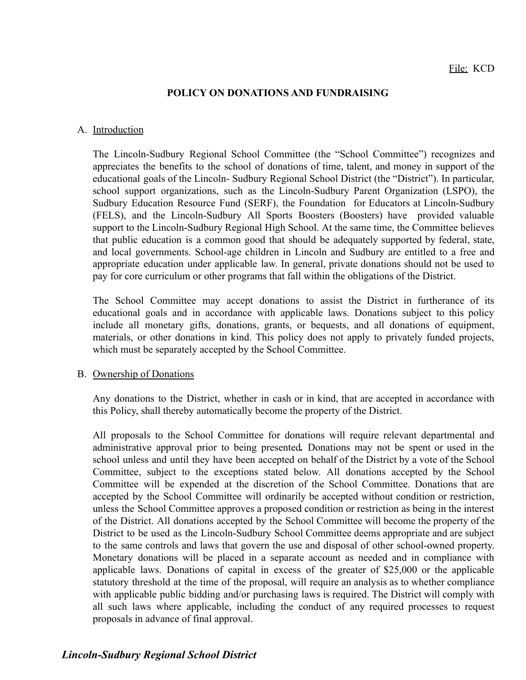#### **POLICY ON DONATIONS AND FUNDRAISING**

#### A. Introduction

The Lincoln-Sudbury Regional School Committee (the "School Committee") recognizes and appreciates the benefits to the school of donations of time, talent, and money in support of the educational goals of the Lincoln- Sudbury Regional School District (the "District"). In particular, school support organizations, such as the Lincoln-Sudbury Parent Organization (LSPO), the Sudbury Education Resource Fund (SERF), the Foundation for Educators at Lincoln-Sudbury (FELS), and the Lincoln-Sudbury All Sports Boosters (Boosters) have provided valuable support to the Lincoln-Sudbury Regional High School. At the same time, the Committee believes that public education is a common good that should be adequately supported by federal, state, and local governments. School-age children in Lincoln and Sudbury are entitled to a free and appropriate education under applicable law. In general, private donations should not be used to pay for core curriculum or other programs that fall within the obligations of the District.

The School Committee may accept donations to assist the District in furtherance of its educational goals and in accordance with applicable laws. Donations subject to this policy include all monetary gifts, donations, grants, or bequests, and all donations of equipment, materials, or other donations in kind. This policy does not apply to privately funded projects, which must be separately accepted by the School Committee.

#### B. Ownership of Donations

Any donations to the District, whether in cash or in kind, that are accepted in accordance with this Policy, shall thereby automatically become the property of the District.

All proposals to the School Committee for donations will require relevant departmental and administrative approval prior to being presented*.* Donations may not be spent or used in the school unless and until they have been accepted on behalf of the District by a vote of the School Committee, subject to the exceptions stated below. All donations accepted by the School Committee will be expended at the discretion of the School Committee. Donations that are accepted by the School Committee will ordinarily be accepted without condition or restriction, unless the School Committee approves a proposed condition or restriction as being in the interest of the District. All donations accepted by the School Committee will become the property of the District to be used as the Lincoln-Sudbury School Committee deems appropriate and are subject to the same controls and laws that govern the use and disposal of other school-owned property. Monetary donations will be placed in a separate account as needed and in compliance with applicable laws. Donations of capital in excess of the greater of \$25,000 or the applicable statutory threshold at the time of the proposal, will require an analysis as to whether compliance with applicable public bidding and/or purchasing laws is required. The District will comply with all such laws where applicable, including the conduct of any required processes to request proposals in advance of final approval.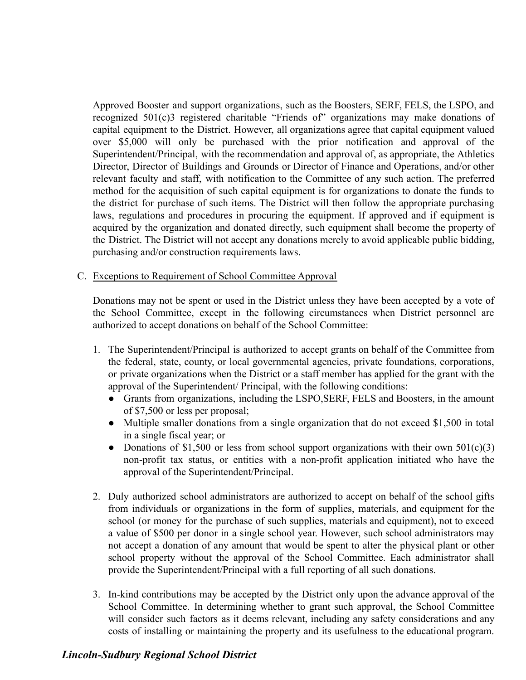Approved Booster and support organizations, such as the Boosters, SERF, FELS, the LSPO, and recognized 501(c)3 registered charitable "Friends of" organizations may make donations of capital equipment to the District. However, all organizations agree that capital equipment valued over \$5,000 will only be purchased with the prior notification and approval of the Superintendent/Principal, with the recommendation and approval of, as appropriate, the Athletics Director, Director of Buildings and Grounds or Director of Finance and Operations, and/or other relevant faculty and staff, with notification to the Committee of any such action. The preferred method for the acquisition of such capital equipment is for organizations to donate the funds to the district for purchase of such items. The District will then follow the appropriate purchasing laws, regulations and procedures in procuring the equipment. If approved and if equipment is acquired by the organization and donated directly, such equipment shall become the property of the District. The District will not accept any donations merely to avoid applicable public bidding, purchasing and/or construction requirements laws.

#### C. Exceptions to Requirement of School Committee Approval

Donations may not be spent or used in the District unless they have been accepted by a vote of the School Committee, except in the following circumstances when District personnel are authorized to accept donations on behalf of the School Committee:

- 1. The Superintendent/Principal is authorized to accept grants on behalf of the Committee from the federal, state, county, or local governmental agencies, private foundations, corporations, or private organizations when the District or a staff member has applied for the grant with the approval of the Superintendent/ Principal, with the following conditions:
	- Grants from organizations, including the LSPO,SERF, FELS and Boosters, in the amount of \$7,500 or less per proposal;
	- Multiple smaller donations from a single organization that do not exceed \$1,500 in total in a single fiscal year; or
	- Donations of \$1,500 or less from school support organizations with their own  $501(c)(3)$ non-profit tax status, or entities with a non-profit application initiated who have the approval of the Superintendent/Principal.
- 2. Duly authorized school administrators are authorized to accept on behalf of the school gifts from individuals or organizations in the form of supplies, materials, and equipment for the school (or money for the purchase of such supplies, materials and equipment), not to exceed a value of \$500 per donor in a single school year. However, such school administrators may not accept a donation of any amount that would be spent to alter the physical plant or other school property without the approval of the School Committee. Each administrator shall provide the Superintendent/Principal with a full reporting of all such donations.
- 3. In-kind contributions may be accepted by the District only upon the advance approval of the School Committee. In determining whether to grant such approval, the School Committee will consider such factors as it deems relevant, including any safety considerations and any costs of installing or maintaining the property and its usefulness to the educational program.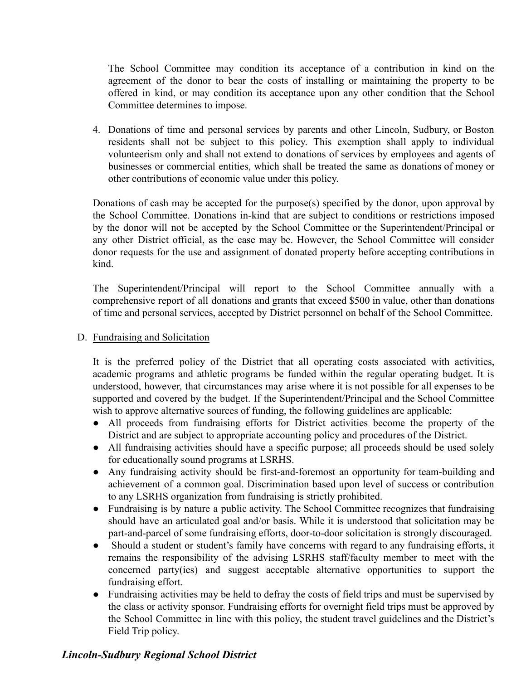The School Committee may condition its acceptance of a contribution in kind on the agreement of the donor to bear the costs of installing or maintaining the property to be offered in kind, or may condition its acceptance upon any other condition that the School Committee determines to impose.

4. Donations of time and personal services by parents and other Lincoln, Sudbury, or Boston residents shall not be subject to this policy. This exemption shall apply to individual volunteerism only and shall not extend to donations of services by employees and agents of businesses or commercial entities, which shall be treated the same as donations of money or other contributions of economic value under this policy.

Donations of cash may be accepted for the purpose(s) specified by the donor, upon approval by the School Committee. Donations in-kind that are subject to conditions or restrictions imposed by the donor will not be accepted by the School Committee or the Superintendent/Principal or any other District official, as the case may be. However, the School Committee will consider donor requests for the use and assignment of donated property before accepting contributions in kind.

The Superintendent/Principal will report to the School Committee annually with a comprehensive report of all donations and grants that exceed \$500 in value, other than donations of time and personal services, accepted by District personnel on behalf of the School Committee.

### D. Fundraising and Solicitation

It is the preferred policy of the District that all operating costs associated with activities, academic programs and athletic programs be funded within the regular operating budget. It is understood, however, that circumstances may arise where it is not possible for all expenses to be supported and covered by the budget. If the Superintendent/Principal and the School Committee wish to approve alternative sources of funding, the following guidelines are applicable:

- All proceeds from fundraising efforts for District activities become the property of the District and are subject to appropriate accounting policy and procedures of the District.
- All fundraising activities should have a specific purpose; all proceeds should be used solely for educationally sound programs at LSRHS.
- Any fundraising activity should be first-and-foremost an opportunity for team-building and achievement of a common goal. Discrimination based upon level of success or contribution to any LSRHS organization from fundraising is strictly prohibited.
- Fundraising is by nature a public activity. The School Committee recognizes that fundraising should have an articulated goal and/or basis. While it is understood that solicitation may be part-and-parcel of some fundraising efforts, door-to-door solicitation is strongly discouraged.
- Should a student or student's family have concerns with regard to any fundraising efforts, it remains the responsibility of the advising LSRHS staff/faculty member to meet with the concerned party(ies) and suggest acceptable alternative opportunities to support the fundraising effort.
- Fundraising activities may be held to defray the costs of field trips and must be supervised by the class or activity sponsor. Fundraising efforts for overnight field trips must be approved by the School Committee in line with this policy, the student travel guidelines and the District's Field Trip policy.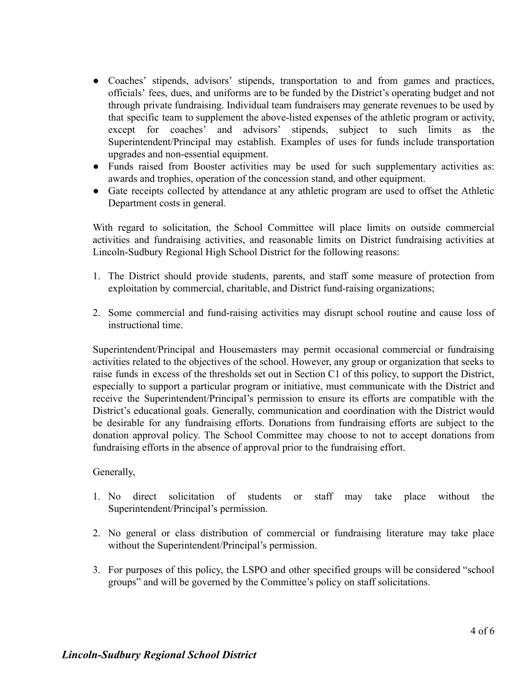- Coaches' stipends, advisors' stipends, transportation to and from games and practices, officials' fees, dues, and uniforms are to be funded by the District's operating budget and not through private fundraising. Individual team fundraisers may generate revenues to be used by that specific team to supplement the above-listed expenses of the athletic program or activity, except for coaches' and advisors' stipends, subject to such limits as the Superintendent/Principal may establish. Examples of uses for funds include transportation upgrades and non-essential equipment.
- Funds raised from Booster activities may be used for such supplementary activities as: awards and trophies, operation of the concession stand, and other equipment.
- Gate receipts collected by attendance at any athletic program are used to offset the Athletic Department costs in general.

With regard to solicitation, the School Committee will place limits on outside commercial activities and fundraising activities, and reasonable limits on District fundraising activities at Lincoln-Sudbury Regional High School District for the following reasons:

- 1. The District should provide students, parents, and staff some measure of protection from exploitation by commercial, charitable, and District fund-raising organizations;
- 2. Some commercial and fund-raising activities may disrupt school routine and cause loss of instructional time.

Superintendent/Principal and Housemasters may permit occasional commercial or fundraising activities related to the objectives of the school. However, any group or organization that seeks to raise funds in excess of the thresholds set out in Section C1 of this policy, to support the District, especially to support a particular program or initiative, must communicate with the District and receive the Superintendent/Principal's permission to ensure its efforts are compatible with the District's educational goals. Generally, communication and coordination with the District would be desirable for any fundraising efforts. Donations from fundraising efforts are subject to the donation approval policy. The School Committee may choose to not to accept donations from fundraising efforts in the absence of approval prior to the fundraising effort.

### Generally,

- 1. No direct solicitation of students or staff may take place without the Superintendent/Principal's permission.
- 2. No general or class distribution of commercial or fundraising literature may take place without the Superintendent/Principal's permission.
- 3. For purposes of this policy, the LSPO and other specified groups will be considered "school groups" and will be governed by the Committee's policy on staff solicitations.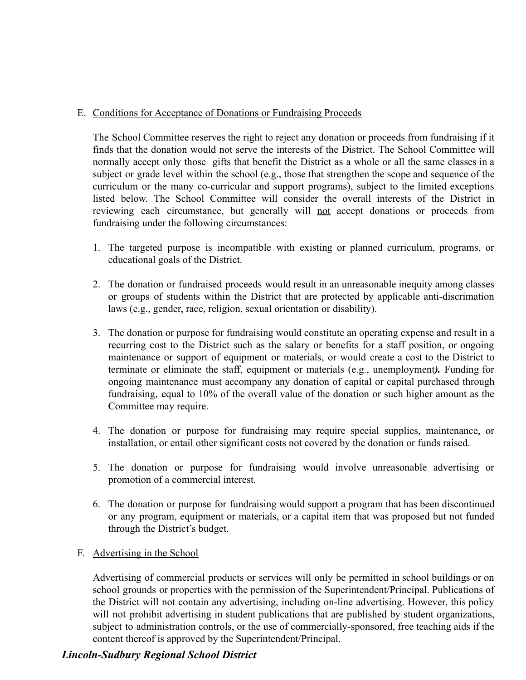### E. Conditions for Acceptance of Donations or Fundraising Proceeds

The School Committee reserves the right to reject any donation or proceeds from fundraising if it finds that the donation would not serve the interests of the District. The School Committee will normally accept only those gifts that benefit the District as a whole or all the same classes in a subject or grade level within the school (e.g., those that strengthen the scope and sequence of the curriculum or the many co-curricular and support programs), subject to the limited exceptions listed below. The School Committee will consider the overall interests of the District in reviewing each circumstance, but generally will not accept donations or proceeds from fundraising under the following circumstances:

- 1. The targeted purpose is incompatible with existing or planned curriculum, programs, or educational goals of the District.
- 2. The donation or fundraised proceeds would result in an unreasonable inequity among classes or groups of students within the District that are protected by applicable anti-discrimation laws (e.g., gender, race, religion, sexual orientation or disability).
- 3. The donation or purpose for fundraising would constitute an operating expense and result in a recurring cost to the District such as the salary or benefits for a staff position, or ongoing maintenance or support of equipment or materials, or would create a cost to the District to terminate or eliminate the staff, equipment or materials (e.g., unemployment*).* Funding for ongoing maintenance must accompany any donation of capital or capital purchased through fundraising, equal to 10% of the overall value of the donation or such higher amount as the Committee may require.
- 4. The donation or purpose for fundraising may require special supplies, maintenance, or installation, or entail other significant costs not covered by the donation or funds raised.
- 5. The donation or purpose for fundraising would involve unreasonable advertising or promotion of a commercial interest.
- 6. The donation or purpose for fundraising would support a program that has been discontinued or any program, equipment or materials, or a capital item that was proposed but not funded through the District's budget.
- F. Advertising in the School

Advertising of commercial products or services will only be permitted in school buildings or on school grounds or properties with the permission of the Superintendent/Principal. Publications of the District will not contain any advertising, including on-line advertising. However, this policy will not prohibit advertising in student publications that are published by student organizations, subject to administration controls, or the use of commercially-sponsored, free teaching aids if the content thereof is approved by the Superintendent/Principal.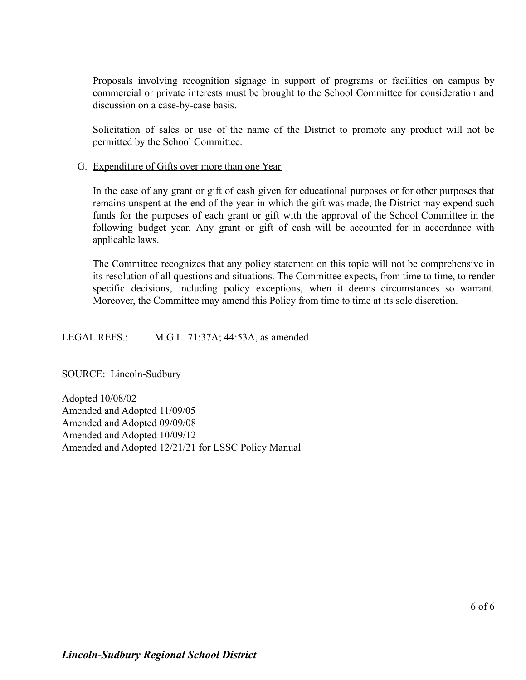Proposals involving recognition signage in support of programs or facilities on campus by commercial or private interests must be brought to the School Committee for consideration and discussion on a case-by-case basis.

Solicitation of sales or use of the name of the District to promote any product will not be permitted by the School Committee.

#### G. Expenditure of Gifts over more than one Year

In the case of any grant or gift of cash given for educational purposes or for other purposes that remains unspent at the end of the year in which the gift was made, the District may expend such funds for the purposes of each grant or gift with the approval of the School Committee in the following budget year. Any grant or gift of cash will be accounted for in accordance with applicable laws.

The Committee recognizes that any policy statement on this topic will not be comprehensive in its resolution of all questions and situations. The Committee expects, from time to time, to render specific decisions, including policy exceptions, when it deems circumstances so warrant. Moreover, the Committee may amend this Policy from time to time at its sole discretion.

LEGAL REFS.: M.G.L. 71:37A; 44:53A, as amended

SOURCE: Lincoln-Sudbury

Adopted 10/08/02 Amended and Adopted 11/09/05 Amended and Adopted 09/09/08 Amended and Adopted 10/09/12 Amended and Adopted 12/21/21 for LSSC Policy Manual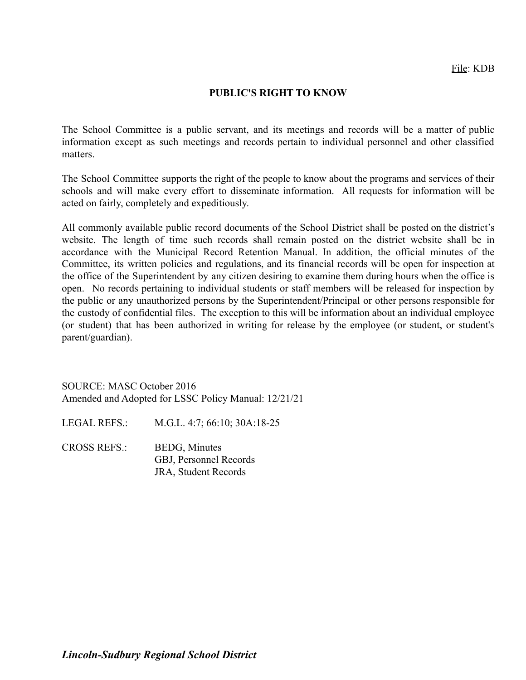#### **PUBLIC'S RIGHT TO KNOW**

The School Committee is a public servant, and its meetings and records will be a matter of public information except as such meetings and records pertain to individual personnel and other classified matters.

The School Committee supports the right of the people to know about the programs and services of their schools and will make every effort to disseminate information. All requests for information will be acted on fairly, completely and expeditiously.

All commonly available public record documents of the School District shall be posted on the district's website. The length of time such records shall remain posted on the district website shall be in accordance with the Municipal Record Retention Manual. In addition, the official minutes of the Committee, its written policies and regulations, and its financial records will be open for inspection at the office of the Superintendent by any citizen desiring to examine them during hours when the office is open. No records pertaining to individual students or staff members will be released for inspection by the public or any unauthorized persons by the Superintendent/Principal or other persons responsible for the custody of confidential files. The exception to this will be information about an individual employee (or student) that has been authorized in writing for release by the employee (or student, or student's parent/guardian).

SOURCE: MASC October 2016 Amended and Adopted for LSSC Policy Manual: 12/21/21

LEGAL REFS.: M.G.L. 4:7; 66:10; 30A:18-25

CROSS REFS.: BEDG, Minutes GBJ, Personnel Records JRA, Student Records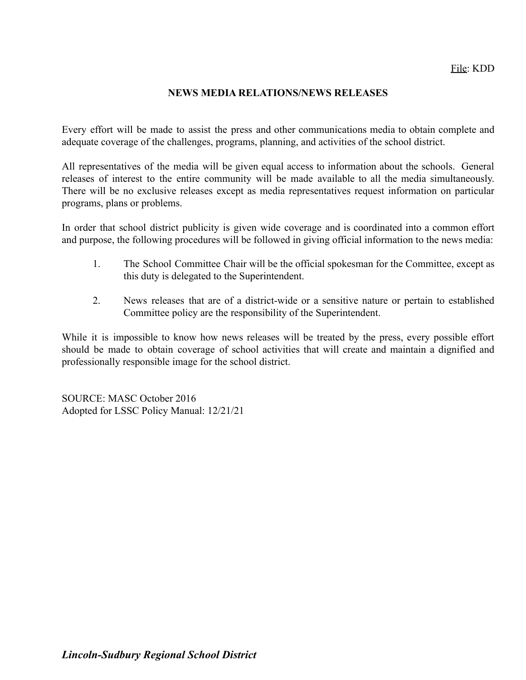### **NEWS MEDIA RELATIONS/NEWS RELEASES**

Every effort will be made to assist the press and other communications media to obtain complete and adequate coverage of the challenges, programs, planning, and activities of the school district.

All representatives of the media will be given equal access to information about the schools. General releases of interest to the entire community will be made available to all the media simultaneously. There will be no exclusive releases except as media representatives request information on particular programs, plans or problems.

In order that school district publicity is given wide coverage and is coordinated into a common effort and purpose, the following procedures will be followed in giving official information to the news media:

- 1. The School Committee Chair will be the official spokesman for the Committee, except as this duty is delegated to the Superintendent.
- 2. News releases that are of a district-wide or a sensitive nature or pertain to established Committee policy are the responsibility of the Superintendent.

While it is impossible to know how news releases will be treated by the press, every possible effort should be made to obtain coverage of school activities that will create and maintain a dignified and professionally responsible image for the school district.

SOURCE: MASC October 2016 Adopted for LSSC Policy Manual: 12/21/21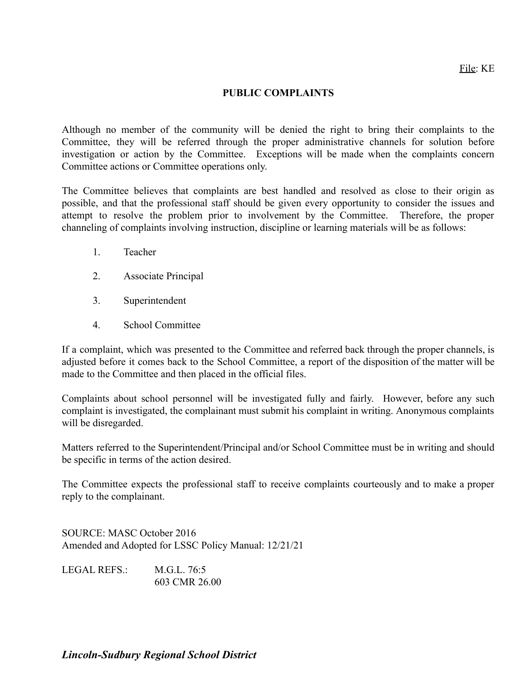### **PUBLIC COMPLAINTS**

Although no member of the community will be denied the right to bring their complaints to the Committee, they will be referred through the proper administrative channels for solution before investigation or action by the Committee. Exceptions will be made when the complaints concern Committee actions or Committee operations only.

The Committee believes that complaints are best handled and resolved as close to their origin as possible, and that the professional staff should be given every opportunity to consider the issues and attempt to resolve the problem prior to involvement by the Committee. Therefore, the proper channeling of complaints involving instruction, discipline or learning materials will be as follows:

- 1. Teacher
- 2. Associate Principal
- 3. Superintendent
- 4. School Committee

If a complaint, which was presented to the Committee and referred back through the proper channels, is adjusted before it comes back to the School Committee, a report of the disposition of the matter will be made to the Committee and then placed in the official files.

Complaints about school personnel will be investigated fully and fairly. However, before any such complaint is investigated, the complainant must submit his complaint in writing. Anonymous complaints will be disregarded.

Matters referred to the Superintendent/Principal and/or School Committee must be in writing and should be specific in terms of the action desired.

The Committee expects the professional staff to receive complaints courteously and to make a proper reply to the complainant.

SOURCE: MASC October 2016 Amended and Adopted for LSSC Policy Manual: 12/21/21

| LEGAL REFS.: | M.G.L. 76:5   |
|--------------|---------------|
|              | 603 CMR 26.00 |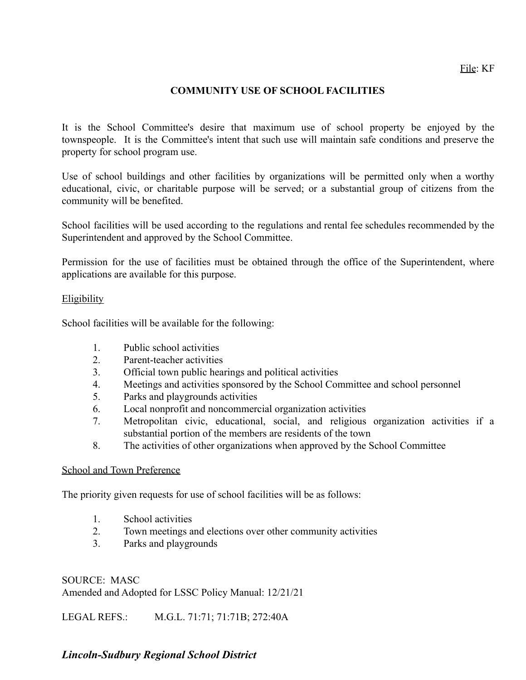## **COMMUNITY USE OF SCHOOL FACILITIES**

It is the School Committee's desire that maximum use of school property be enjoyed by the townspeople. It is the Committee's intent that such use will maintain safe conditions and preserve the property for school program use.

Use of school buildings and other facilities by organizations will be permitted only when a worthy educational, civic, or charitable purpose will be served; or a substantial group of citizens from the community will be benefited.

School facilities will be used according to the regulations and rental fee schedules recommended by the Superintendent and approved by the School Committee.

Permission for the use of facilities must be obtained through the office of the Superintendent, where applications are available for this purpose.

#### Eligibility

School facilities will be available for the following:

- 1. Public school activities
- 2. Parent-teacher activities
- 3. Official town public hearings and political activities
- 4. Meetings and activities sponsored by the School Committee and school personnel
- 5. Parks and playgrounds activities
- 6. Local nonprofit and noncommercial organization activities
- 7. Metropolitan civic, educational, social, and religious organization activities if a substantial portion of the members are residents of the town
- 8. The activities of other organizations when approved by the School Committee

#### School and Town Preference

The priority given requests for use of school facilities will be as follows:

- 1. School activities
- 2. Town meetings and elections over other community activities
- 3. Parks and playgrounds

SOURCE: MASC Amended and Adopted for LSSC Policy Manual: 12/21/21

LEGAL REFS.: M.G.L. 71:71; 71:71B; 272:40A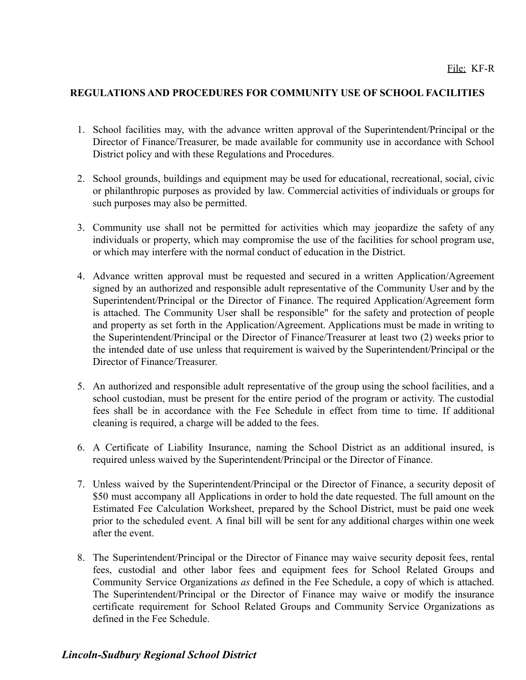### **REGULATIONS AND PROCEDURES FOR COMMUNITY USE OF SCHOOL FACILITIES**

- 1. School facilities may, with the advance written approval of the Superintendent/Principal or the Director of Finance/Treasurer, be made available for community use in accordance with School District policy and with these Regulations and Procedures.
- 2. School grounds, buildings and equipment may be used for educational, recreational, social, civic or philanthropic purposes as provided by law. Commercial activities of individuals or groups for such purposes may also be permitted.
- 3. Community use shall not be permitted for activities which may jeopardize the safety of any individuals or property, which may compromise the use of the facilities for school program use, or which may interfere with the normal conduct of education in the District.
- 4. Advance written approval must be requested and secured in a written Application/Agreement signed by an authorized and responsible adult representative of the Community User and by the Superintendent/Principal or the Director of Finance. The required Application/Agreement form is attached. The Community User shall be responsible" for the safety and protection of people and property as set forth in the Application/Agreement. Applications must be made in writing to the Superintendent/Principal or the Director of Finance/Treasurer at least two (2) weeks prior to the intended date of use unless that requirement is waived by the Superintendent/Principal or the Director of Finance/Treasurer.
- 5. An authorized and responsible adult representative of the group using the school facilities, and a school custodian, must be present for the entire period of the program or activity. The custodial fees shall be in accordance with the Fee Schedule in effect from time to time. If additional cleaning is required, a charge will be added to the fees.
- 6. A Certificate of Liability Insurance, naming the School District as an additional insured, is required unless waived by the Superintendent/Principal or the Director of Finance.
- 7. Unless waived by the Superintendent/Principal or the Director of Finance, a security deposit of \$50 must accompany all Applications in order to hold the date requested. The full amount on the Estimated Fee Calculation Worksheet, prepared by the School District, must be paid one week prior to the scheduled event. A final bill will be sent for any additional charges within one week after the event.
- 8. The Superintendent/Principal or the Director of Finance may waive security deposit fees, rental fees, custodial and other labor fees and equipment fees for School Related Groups and Community Service Organizations *as* defined in the Fee Schedule, a copy of which is attached. The Superintendent/Principal or the Director of Finance may waive or modify the insurance certificate requirement for School Related Groups and Community Service Organizations as defined in the Fee Schedule.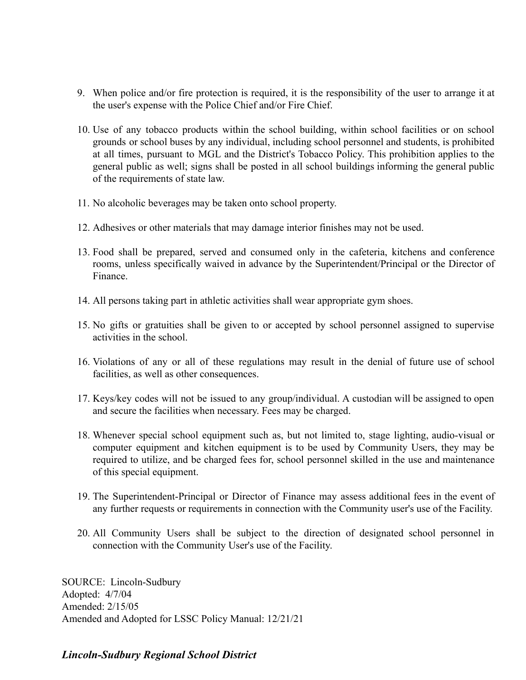- 9. When police and/or fire protection is required, it is the responsibility of the user to arrange it at the user's expense with the Police Chief and/or Fire Chief.
- 10. Use of any tobacco products within the school building, within school facilities or on school grounds or school buses by any individual, including school personnel and students, is prohibited at all times, pursuant to MGL and the District's Tobacco Policy. This prohibition applies to the general public as well; signs shall be posted in all school buildings informing the general public of the requirements of state law.
- 11. No alcoholic beverages may be taken onto school property.
- 12. Adhesives or other materials that may damage interior finishes may not be used.
- 13. Food shall be prepared, served and consumed only in the cafeteria, kitchens and conference rooms, unless specifically waived in advance by the Superintendent/Principal or the Director of Finance.
- 14. All persons taking part in athletic activities shall wear appropriate gym shoes.
- 15. No gifts or gratuities shall be given to or accepted by school personnel assigned to supervise activities in the school.
- 16. Violations of any or all of these regulations may result in the denial of future use of school facilities, as well as other consequences.
- 17. Keys/key codes will not be issued to any group/individual. A custodian will be assigned to open and secure the facilities when necessary. Fees may be charged.
- 18. Whenever special school equipment such as, but not limited to, stage lighting, audio-visual or computer equipment and kitchen equipment is to be used by Community Users, they may be required to utilize, and be charged fees for, school personnel skilled in the use and maintenance of this special equipment.
- 19. The Superintendent-Principal or Director of Finance may assess additional fees in the event of any further requests or requirements in connection with the Community user's use of the Facility.
- 20. All Community Users shall be subject to the direction of designated school personnel in connection with the Community User's use of the Facility.

SOURCE: Lincoln-Sudbury Adopted: 4/7/04 Amended: 2/15/05 Amended and Adopted for LSSC Policy Manual: 12/21/21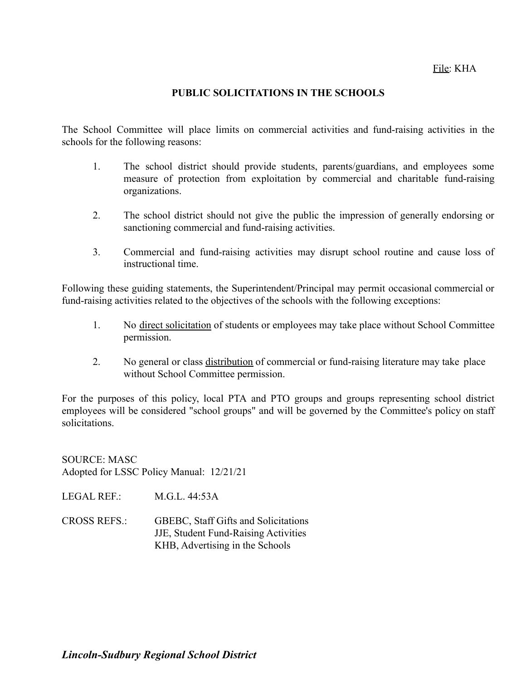### File: KHA

#### **PUBLIC SOLICITATIONS IN THE SCHOOLS**

The School Committee will place limits on commercial activities and fund-raising activities in the schools for the following reasons:

- 1. The school district should provide students, parents/guardians, and employees some measure of protection from exploitation by commercial and charitable fund-raising organizations.
- 2. The school district should not give the public the impression of generally endorsing or sanctioning commercial and fund-raising activities.
- 3. Commercial and fund-raising activities may disrupt school routine and cause loss of instructional time.

Following these guiding statements, the Superintendent/Principal may permit occasional commercial or fund-raising activities related to the objectives of the schools with the following exceptions:

- 1. No direct solicitation of students or employees may take place without School Committee permission.
- 2. No general or class distribution of commercial or fund-raising literature may take place without School Committee permission.

For the purposes of this policy, local PTA and PTO groups and groups representing school district employees will be considered "school groups" and will be governed by the Committee's policy on staff solicitations.

SOURCE: MASC Adopted for LSSC Policy Manual: 12/21/21

LEGAL REF.: M.G.L. 44:53A

CROSS REFS.: GBEBC, Staff Gifts and Solicitations JJE, Student Fund-Raising Activities KHB, Advertising in the Schools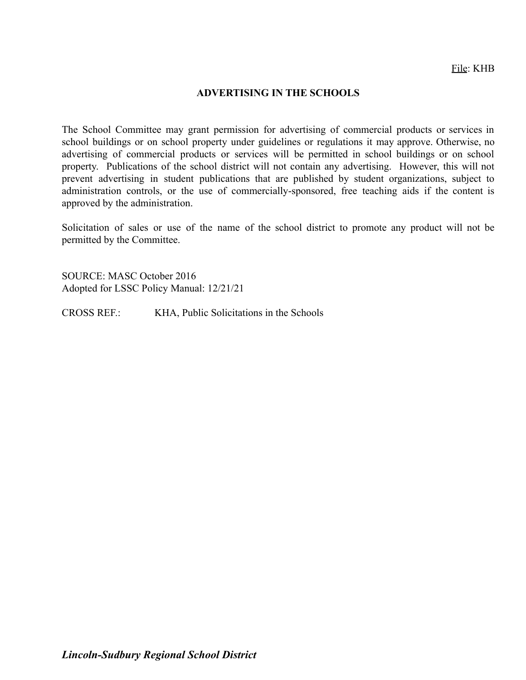#### **ADVERTISING IN THE SCHOOLS**

The School Committee may grant permission for advertising of commercial products or services in school buildings or on school property under guidelines or regulations it may approve. Otherwise, no advertising of commercial products or services will be permitted in school buildings or on school property. Publications of the school district will not contain any advertising. However, this will not prevent advertising in student publications that are published by student organizations, subject to administration controls, or the use of commercially-sponsored, free teaching aids if the content is approved by the administration.

Solicitation of sales or use of the name of the school district to promote any product will not be permitted by the Committee.

SOURCE: MASC October 2016 Adopted for LSSC Policy Manual: 12/21/21

CROSS REF.: KHA, Public Solicitations in the Schools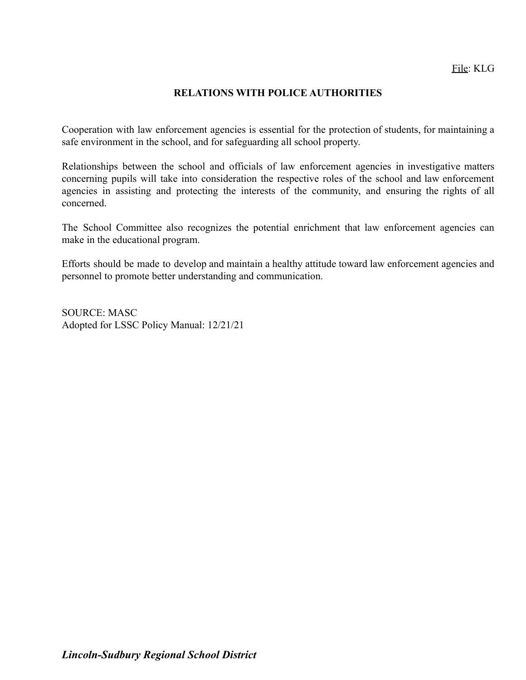### **RELATIONS WITH POLICE AUTHORITIES**

Cooperation with law enforcement agencies is essential for the protection of students, for maintaining a safe environment in the school, and for safeguarding all school property.

Relationships between the school and officials of law enforcement agencies in investigative matters concerning pupils will take into consideration the respective roles of the school and law enforcement agencies in assisting and protecting the interests of the community, and ensuring the rights of all concerned.

The School Committee also recognizes the potential enrichment that law enforcement agencies can make in the educational program.

Efforts should be made to develop and maintain a healthy attitude toward law enforcement agencies and personnel to promote better understanding and communication.

SOURCE: MASC Adopted for LSSC Policy Manual: 12/21/21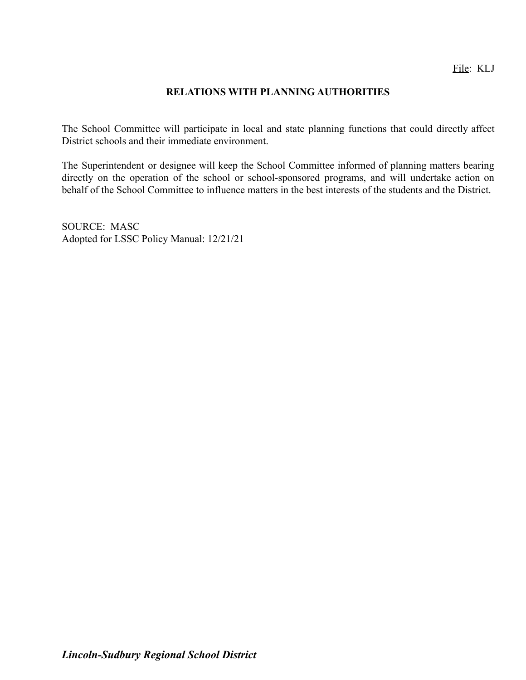### **RELATIONS WITH PLANNING AUTHORITIES**

The School Committee will participate in local and state planning functions that could directly affect District schools and their immediate environment.

The Superintendent or designee will keep the School Committee informed of planning matters bearing directly on the operation of the school or school-sponsored programs, and will undertake action on behalf of the School Committee to influence matters in the best interests of the students and the District.

SOURCE: MASC Adopted for LSSC Policy Manual: 12/21/21